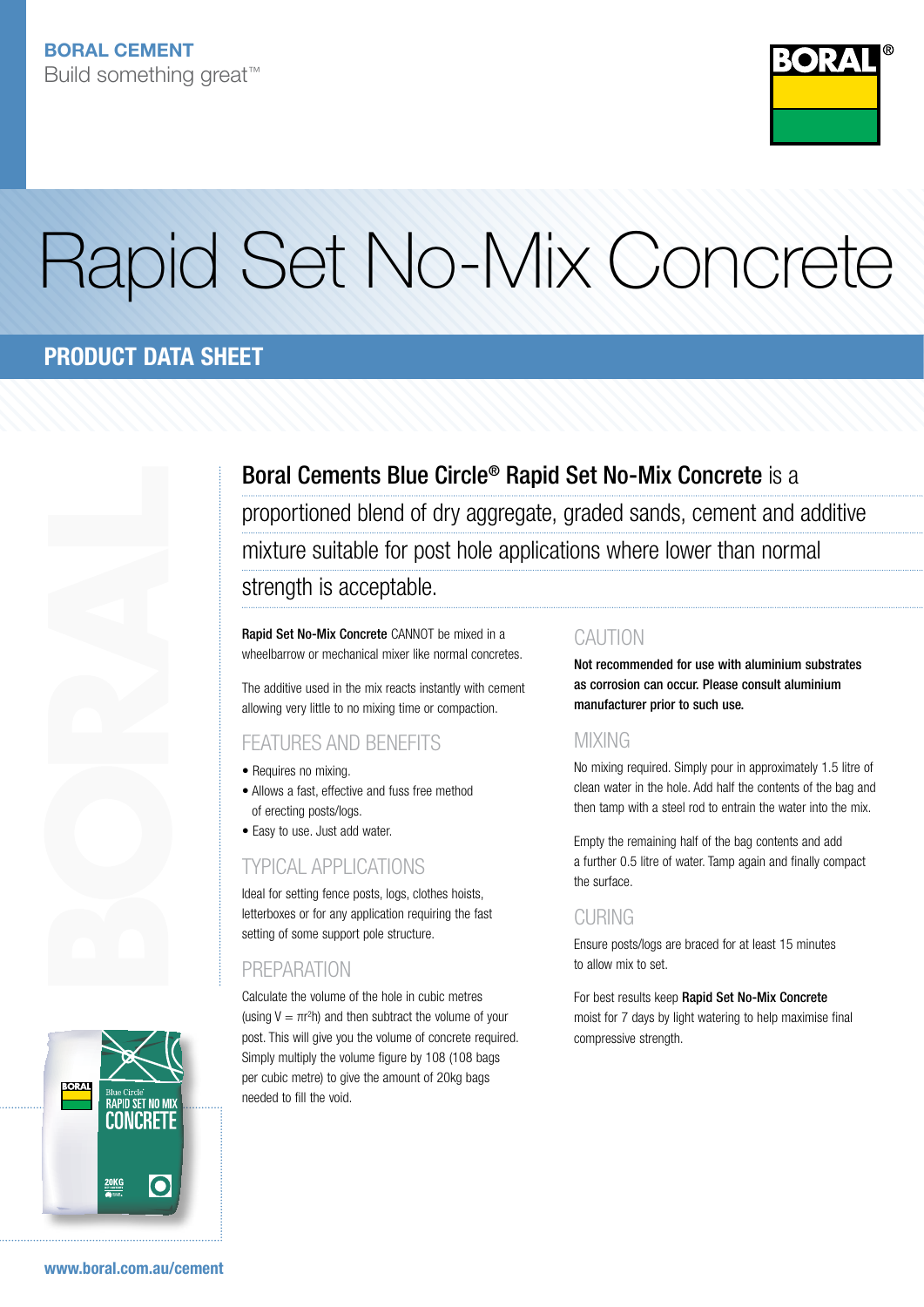

# Rapid Set No-Mix Concrete

# PRODUCT DATA SHEET



# Boral Cements Blue Circle® Rapid Set No-Mix Concrete is a

proportioned blend of dry aggregate, graded sands, cement and additive mixture suitable for post hole applications where lower than normal strength is acceptable.

Rapid Set No-Mix Concrete CANNOT be mixed in a wheelbarrow or mechanical mixer like normal concretes.

The additive used in the mix reacts instantly with cement allowing very little to no mixing time or compaction.

# FEATURES AND BENEFITS

- Requires no mixing.
- Allows a fast, effective and fuss free method of erecting posts/logs.
- Easy to use. Just add water.

### Typical Applications

Ideal for setting fence posts, logs, clothes hoists, letterboxes or for any application requiring the fast setting of some support pole structure.

# **PREPARATION**

Calculate the volume of the hole in cubic metres (using  $V = \pi r^2 h$ ) and then subtract the volume of your post. This will give you the volume of concrete required. Simply multiply the volume figure by 108 (108 bags per cubic metre) to give the amount of 20kg bags needed to fill the void.

### CAUTION

Not recommended for use with aluminium substrates as corrosion can occur. Please consult aluminium manufacturer prior to such use.

### Mixing

No mixing required. Simply pour in approximately 1.5 litre of clean water in the hole. Add half the contents of the bag and then tamp with a steel rod to entrain the water into the mix.

Empty the remaining half of the bag contents and add a further 0.5 litre of water. Tamp again and finally compact the surface.

## CLIRING

Ensure posts/logs are braced for at least 15 minutes to allow mix to set.

For best results keep Rapid Set No-Mix Concrete moist for 7 days by light watering to help maximise final compressive strength.